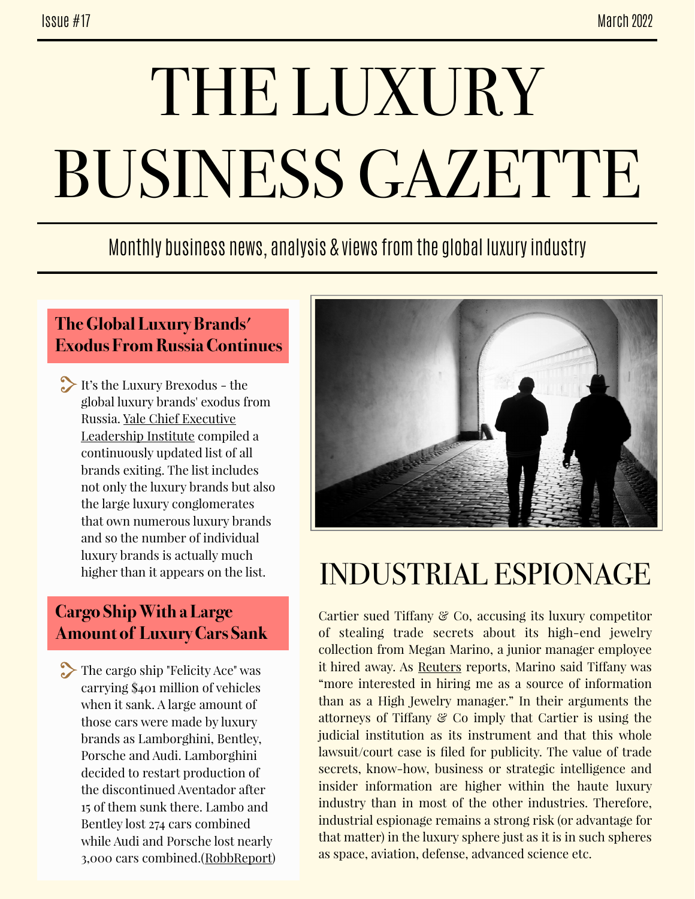# THE LUXURY BUSINESS GAZETTE

### Monthly business news, analysis & views from the global luxury industry

#### **The Global Luxury Brands' Exodus From Russia Continues**

It's the Luxury Brexodus - the global luxury brands' exodus from Russia. [Yale Chief Executive](https://som.yale.edu/story/2022/over-450-companies-have-withdrawn-russia-some-remain)  [Leadership Institute](https://som.yale.edu/story/2022/over-450-companies-have-withdrawn-russia-some-remain) compiled a continuously updated list of all brands exiting. The list includes not only the luxury brands but also the large luxury conglomerates that own numerous luxury brands and so the number of individual luxury brands is actually much higher than it appears on the list.

#### **Cargo Ship With a Large Amount of Luxury Cars Sank**

The cargo ship "Felicity Ace" was carrying \$401 million of vehicles when it sank. A large amount of those cars were made by luxury brands as Lamborghini, Bentley, Porsche and Audi. Lamborghini decided to restart production of the discontinued Aventador after 15 of them sunk there. Lambo and Bentley lost 274 cars combined while Audi and Porsche lost nearly 3,000 cars combined.[\(RobbReport\)](https://robbreport.com/motors/cars/lamborghini-aventador-production-restart-1234669346/)



## INDUSTRIAL ESPIONAGE

Cartier sued Tiffany & Co, accusing its luxury competitor of stealing trade secrets about its high-end jewelry collection from Megan Marino, a junior manager employee it hired away. As [Reuters](https://www.reuters.com/legal/litigation/cartier-lawsuit-accuses-tiffany-stealing-luxury-jewelry-trade-secrets-2022-02-28/) reports, Marino said Tiffany was "more interested in hiring me as a source of information than as a High Jewelry manager." In their arguments the attorneys of Tiffany & Co imply that Cartier is using the judicial institution as its instrument and that this whole lawsuit/court case is filed for publicity. The value of trade secrets, know-how, business or strategic intelligence and insider information are higher within the haute luxury industry than in most of the other industries. Therefore, industrial espionage remains a strong risk (or advantage for that matter) in the luxury sphere just as it is in such spheres as space, aviation, defense, advanced science etc.